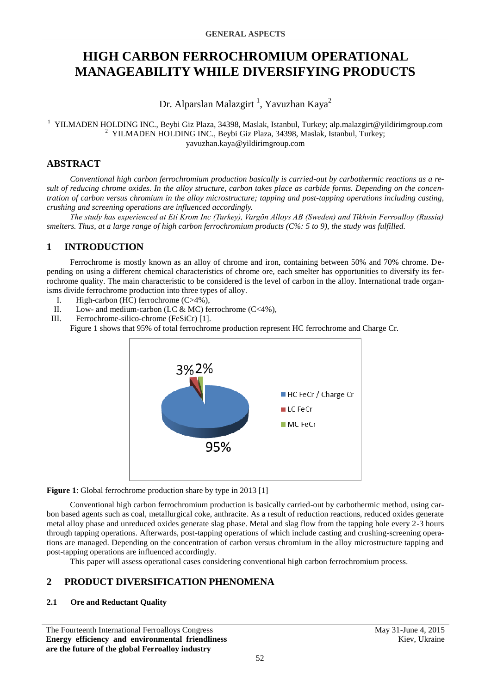# **HIGH CARBON FERROCHROMIUM OPERATIONAL MANAGEABILITY WHILE DIVERSIFYING PRODUCTS**

Dr. Alparslan Malazgirt<sup>1</sup>, Yavuzhan Kaya<sup>2</sup>

<sup>1</sup> YILMADEN HOLDING INC., Beybi Giz Plaza, 34398, Maslak, Istanbul, Turkey; alp.malazgirt@yildirimgroup.com <sup>2</sup> YILMADEN HOLDING INC., Beybi Giz Plaza, 34398, Maslak, Istanbul, Turkey; yavuzhan.kaya@yildirimgroup.com

# **ABSTRACT**

*Conventional high carbon ferrochromium production basically is carried-out by carbothermic reactions as a result of reducing chrome oxides. In the alloy structure, carbon takes place as carbide forms. Depending on the concentration of carbon versus chromium in the alloy microstructure; tapping and post-tapping operations including casting, crushing and screening operations are influenced accordingly.* 

*The study has experienced at Eti Krom Inc (Turkey), Vargön Alloys AB (Sweden) and Tikhvin Ferroalloy (Russia) smelters. Thus, at a large range of high carbon ferrochromium products (C%: 5 to 9), the study was fulfilled.*

# **1 INTRODUCTION**

Ferrochrome is mostly known as an alloy of chrome and iron, containing between 50% and 70% chrome. Depending on using a different chemical characteristics of chrome ore, each smelter has opportunities to diversify its ferrochrome quality. The main characteristic to be considered is the level of carbon in the alloy. International trade organisms divide ferrochrome production into three types of alloy.

- I. High-carbon (HC) ferrochrome (C>4%),
- II. Low- and medium-carbon (LC & MC) ferrochrome (C<4%),
- III. Ferrochrome-silico-chrome (FeSiCr) [1].

Figure 1 shows that 95% of total ferrochrome production represent HC ferrochrome and Charge Cr.



**Figure 1**: Global ferrochrome production share by type in 2013 [1]

Conventional high carbon ferrochromium production is basically carried-out by carbothermic method, using carbon based agents such as coal, metallurgical coke, anthracite. As a result of reduction reactions, reduced oxides generate metal alloy phase and unreduced oxides generate slag phase. Metal and slag flow from the tapping hole every 2-3 hours through tapping operations. Afterwards, post-tapping operations of which include casting and crushing-screening operations are managed. Depending on the concentration of carbon versus chromium in the alloy microstructure tapping and post-tapping operations are influenced accordingly.

This paper will assess operational cases considering conventional high carbon ferrochromium process.

# **2 PRODUCT DIVERSIFICATION PHENOMENA**

# **2.1 Ore and Reductant Quality**

The Fourteenth International Ferroalloys Congress May 31-June 4, 2015 **Energy efficiency and environmental friendliness are the future of the global Ferroalloy industry**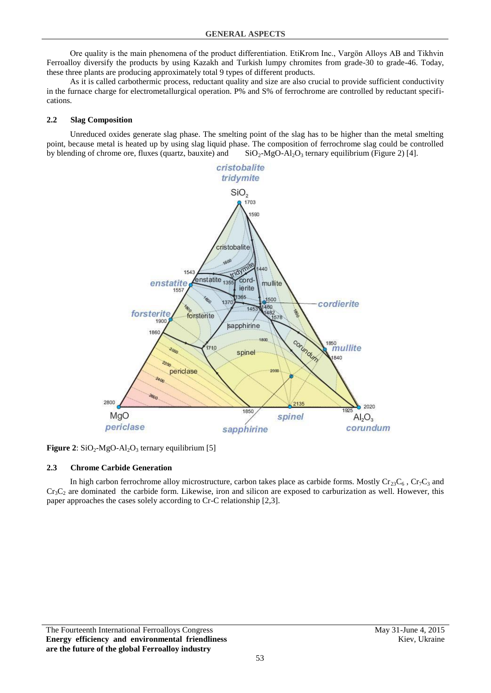Ore quality is the main phenomena of the product differentiation. EtiKrom Inc., Vargön Alloys AB and Tikhvin Ferroalloy diversify the products by using Kazakh and Turkish lumpy chromites from grade-30 to grade-46. Today, these three plants are producing approximately total 9 types of different products.

As it is called carbothermic process, reductant quality and size are also crucial to provide sufficient conductivity in the furnace charge for electrometallurgical operation. P% and S% of ferrochrome are controlled by reductant specifications.

#### **2.2 Slag Composition**

Unreduced oxides generate slag phase. The smelting point of the slag has to be higher than the metal smelting point, because metal is heated up by using slag liquid phase. The composition of ferrochrome slag could be controlled by blending of chrome ore, fluxes (quartz, bauxite) and  $SiO_2-MgO-Al_2O_3$  ternary equilibrium (Figure 2) [4].



**Figure 2**:  $SiO<sub>2</sub>$ -MgO-Al<sub>2</sub>O<sub>3</sub> ternary equilibrium [5]

### **2.3 Chrome Carbide Generation**

In high carbon ferrochrome alloy microstructure, carbon takes place as carbide forms. Mostly  $Cr_{23}C_6$ ,  $Cr_7C_3$  and  $Cr_3C_2$  are dominated the carbide form. Likewise, iron and silicon are exposed to carburization as well. However, this paper approaches the cases solely according to Cr-C relationship [2,3].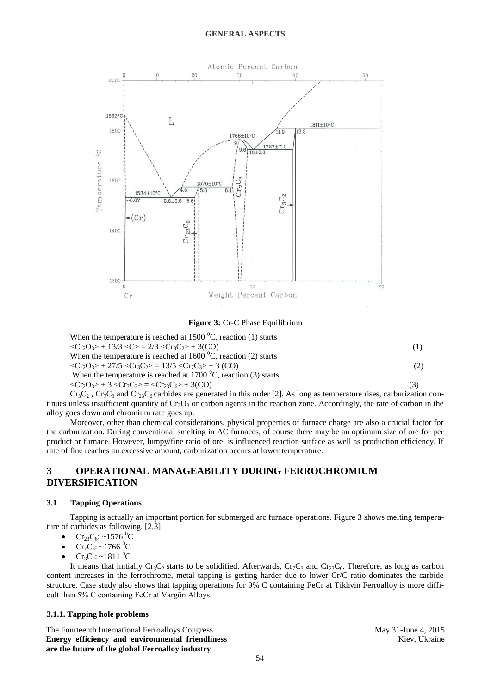

**Figure 3:** Cr-C Phase Equilibrium

| When the temperature is reached at 1500 $^{\circ}$ C, reaction (1) starts                         |     |
|---------------------------------------------------------------------------------------------------|-----|
| $\langle Cr_2O_3\rangle + 13/3 \langle C\rangle = 2/3 \langle Cr_3C_2\rangle + 3(CO)$             | (1) |
| When the temperature is reached at 1600 $^{\circ}$ C, reaction (2) starts                         |     |
| $\langle Cr_2O_3\rangle$ + 27/5 $\langle Cr_3C_2\rangle$ = 13/5 $\langle Cr_7C_3\rangle$ + 3 (CO) | (2) |
| When the temperature is reached at 1700 $^{\circ}$ C, reaction (3) starts                         |     |
| $\langle Cr_2O_3\rangle + 3 \langle Cr_7C_3\rangle = \langle Cr_{23}C_6\rangle + 3(CO)$           | (3) |
|                                                                                                   |     |

 $Cr_3C_2$ ,  $Cr_7C_3$  and  $Cr_23C_6$  carbides are generated in this order [2]. As long as temperature rises, carburization continues unless insufficient quantity of  $Cr_2O_3$  or carbon agents in the reaction zone. Accordingly, the rate of carbon in the alloy goes down and chromium rate goes up.

Moreover, other than chemical considerations, physical properties of furnace charge are also a crucial factor for the carburization. During conventional smelting in AC furnaces, of course there may be an optimum size of ore for per product or furnace. However, lumpy/fine ratio of ore is influenced reaction surface as well as production efficiency. If rate of fine reaches an excessive amount, carburization occurs at lower temperature.

# **3 OPERATIONAL MANAGEABILITY DURING FERROCHROMIUM DIVERSIFICATION**

# **3.1 Tapping Operations**

Tapping is actually an important portion for submerged arc furnace operations. Figure 3 shows melting temperature of carbides as following. [2,3]

- Cr<sub>23</sub>C<sub>6</sub>: ~1576<sup>0</sup>C
- $Cr_7C_3$ : ~1766 <sup>0</sup>C
- $Cr_3C_2$ : ~1811 <sup>0</sup>C

It means that initially  $Cr_3C_2$  starts to be solidified. Afterwards,  $Cr_7C_3$  and  $Cr_2SC_6$ . Therefore, as long as carbon content increases in the ferrochrome, metal tapping is getting harder due to lower Cr/C ratio dominates the carbide structure. Case study also shows that tapping operations for 9% C containing FeCr at Tikhvin Ferroalloy is more difficult than 5% C containing FeCr at Vargön Alloys.

### **3.1.1. Tapping hole problems**

The Fourteenth International Ferroalloys Congress May 31-June 4, 2015 **Energy efficiency and environmental friendliness are the future of the global Ferroalloy industry**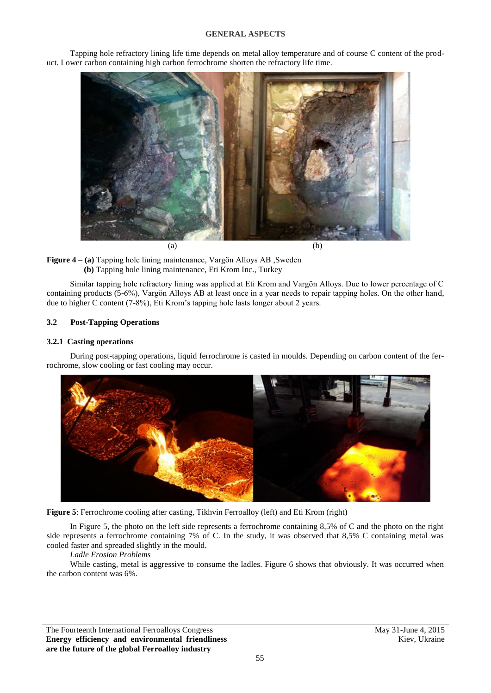

Tapping hole refractory lining life time depends on metal alloy temperature and of course C content of the product. Lower carbon containing high carbon ferrochrome shorten the refractory life time.



Similar tapping hole refractory lining was applied at Eti Krom and Vargön Alloys. Due to lower percentage of C containing products (5-6%), Vargön Alloys AB at least once in a year needs to repair tapping holes. On the other hand, due to higher C content (7-8%), Eti Krom's tapping hole lasts longer about 2 years.

### **3.2 Post-Tapping Operations**

### **3.2.1 Casting operations**

During post-tapping operations, liquid ferrochrome is casted in moulds. Depending on carbon content of the ferrochrome, slow cooling or fast cooling may occur.





In Figure 5, the photo on the left side represents a ferrochrome containing 8,5% of C and the photo on the right side represents a ferrochrome containing 7% of C. In the study, it was observed that 8,5% C containing metal was cooled faster and spreaded slightly in the mould.

*Ladle Erosion Problems*

While casting, metal is aggressive to consume the ladles. Figure 6 shows that obviously. It was occurred when the carbon content was 6%.

The Fourteenth International Ferroalloys Congress May 31-June 4, 2015 **Energy efficiency and environmental friendliness are the future of the global Ferroalloy industry**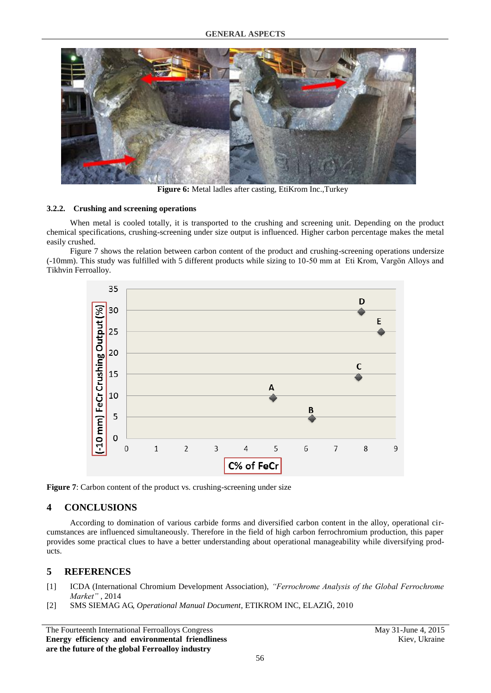

**Figure 6:** Metal ladles after casting, EtiKrom Inc.,Turkey

### **3.2.2. Crushing and screening operations**

When metal is cooled totally, it is transported to the crushing and screening unit. Depending on the product chemical specifications, crushing-screening under size output is influenced. Higher carbon percentage makes the metal easily crushed.

Figure 7 shows the relation between carbon content of the product and crushing-screening operations undersize (-10mm). This study was fulfilled with 5 different products while sizing to 10-50 mm at Eti Krom, Vargön Alloys and Tikhvin Ferroalloy.



Figure 7: Carbon content of the product vs. crushing-screening under size

### **4 CONCLUSIONS**

According to domination of various carbide forms and diversified carbon content in the alloy, operational circumstances are influenced simultaneously. Therefore in the field of high carbon ferrochromium production, this paper provides some practical clues to have a better understanding about operational manageability while diversifying products.

# **5 REFERENCES**

- [1] ICDA (International Chromium Development Association), *"Ferrochrome Analysis of the Global Ferrochrome Market"* , 2014
- [2] SMS SIEMAG AG, *Operational Manual Document*, ETIKROM INC, ELAZIĞ, 2010

The Fourteenth International Ferroalloys Congress May 31-June 4, 2015 **Energy efficiency and environmental friendliness are the future of the global Ferroalloy industry**

Kiev, Ukraine